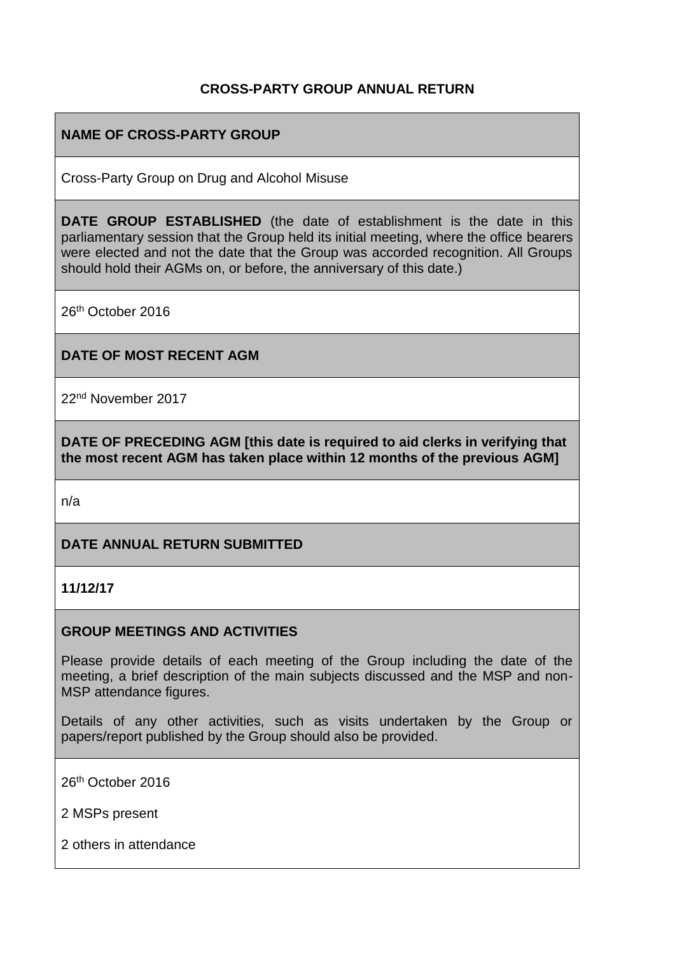## **CROSS-PARTY GROUP ANNUAL RETURN**

#### **NAME OF CROSS-PARTY GROUP**

Cross-Party Group on Drug and Alcohol Misuse

**DATE GROUP ESTABLISHED** (the date of establishment is the date in this parliamentary session that the Group held its initial meeting, where the office bearers were elected and not the date that the Group was accorded recognition. All Groups should hold their AGMs on, or before, the anniversary of this date.)

26th October 2016

#### **DATE OF MOST RECENT AGM**

22nd November 2017

**DATE OF PRECEDING AGM [this date is required to aid clerks in verifying that the most recent AGM has taken place within 12 months of the previous AGM]**

n/a

#### **DATE ANNUAL RETURN SUBMITTED**

**11/12/17**

#### **GROUP MEETINGS AND ACTIVITIES**

Please provide details of each meeting of the Group including the date of the meeting, a brief description of the main subjects discussed and the MSP and non-MSP attendance figures.

Details of any other activities, such as visits undertaken by the Group or papers/report published by the Group should also be provided.

26th October 2016

2 MSPs present

2 others in attendance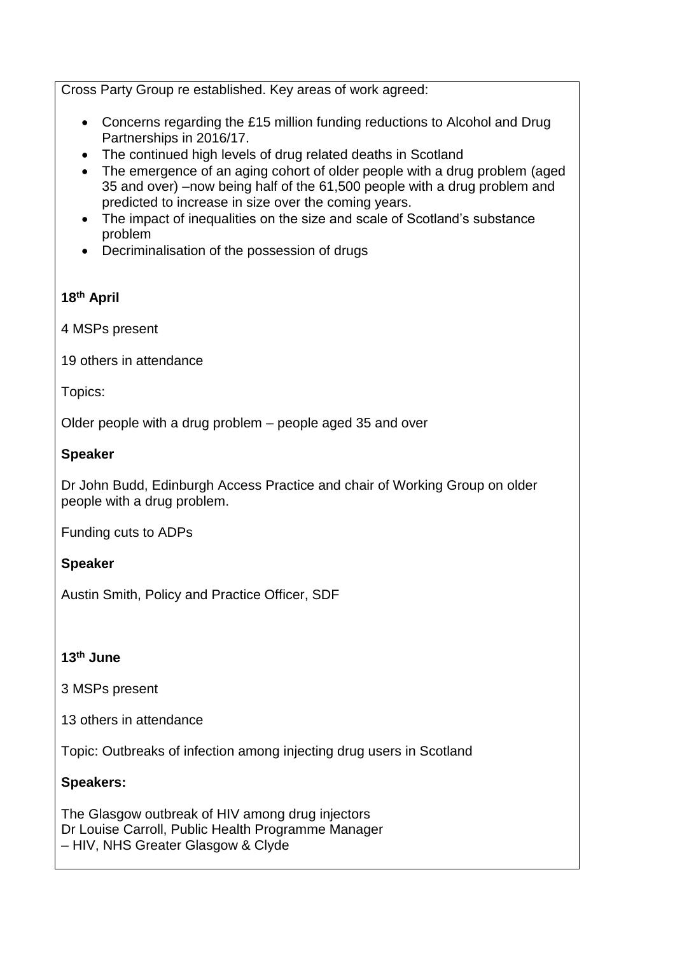Cross Party Group re established. Key areas of work agreed:

- Concerns regarding the £15 million funding reductions to Alcohol and Drug Partnerships in 2016/17.
- The continued high levels of drug related deaths in Scotland
- The emergence of an aging cohort of older people with a drug problem (aged 35 and over) –now being half of the 61,500 people with a drug problem and predicted to increase in size over the coming years.
- The impact of inequalities on the size and scale of Scotland's substance problem
- Decriminalisation of the possession of drugs

# **18th April**

4 MSPs present

19 others in attendance

Topics:

Older people with a drug problem – people aged 35 and over

## **Speaker**

Dr John Budd, Edinburgh Access Practice and chair of Working Group on older people with a drug problem.

Funding cuts to ADPs

## **Speaker**

Austin Smith, Policy and Practice Officer, SDF

## **13th June**

3 MSPs present

13 others in attendance

Topic: Outbreaks of infection among injecting drug users in Scotland

## **Speakers:**

The Glasgow outbreak of HIV among drug injectors Dr Louise Carroll, Public Health Programme Manager – HIV, NHS Greater Glasgow & Clyde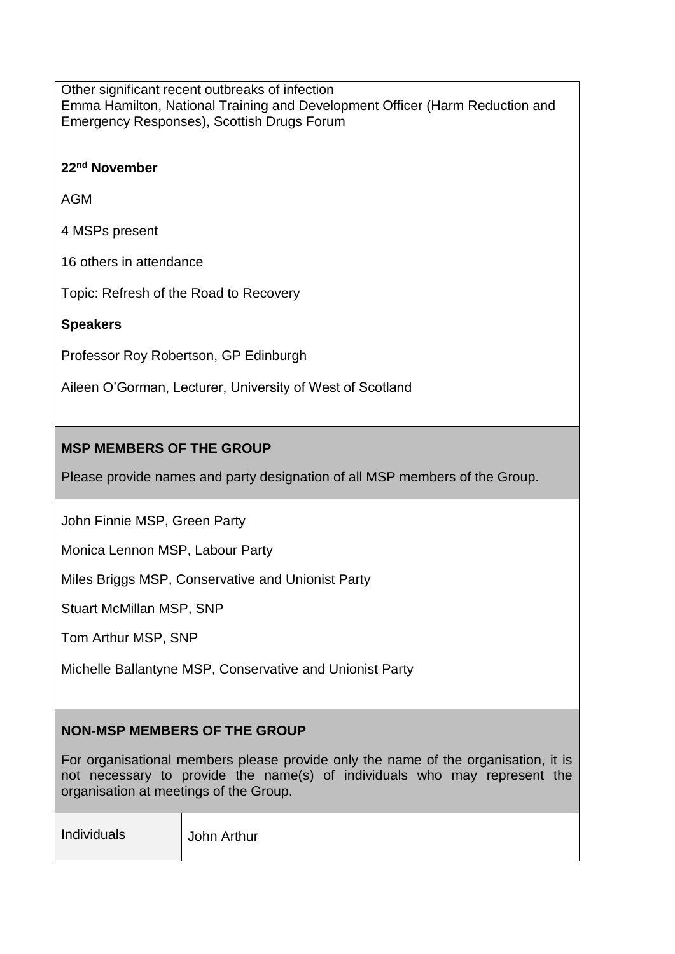Other significant recent outbreaks of infection Emma Hamilton, National Training and Development Officer (Harm Reduction and Emergency Responses), Scottish Drugs Forum

#### **22nd November**

AGM

4 MSPs present

16 others in attendance

Topic: Refresh of the Road to Recovery

#### **Speakers**

Professor Roy Robertson, GP Edinburgh

Aileen O'Gorman, Lecturer, University of West of Scotland

## **MSP MEMBERS OF THE GROUP**

Please provide names and party designation of all MSP members of the Group.

John Finnie MSP, Green Party

Monica Lennon MSP, Labour Party

Miles Briggs MSP, Conservative and Unionist Party

Stuart McMillan MSP, SNP

Tom Arthur MSP, SNP

Michelle Ballantyne MSP, Conservative and Unionist Party

# **NON-MSP MEMBERS OF THE GROUP**

For organisational members please provide only the name of the organisation, it is not necessary to provide the name(s) of individuals who may represent the organisation at meetings of the Group.

| Individuals | John Arthur |
|-------------|-------------|
|             |             |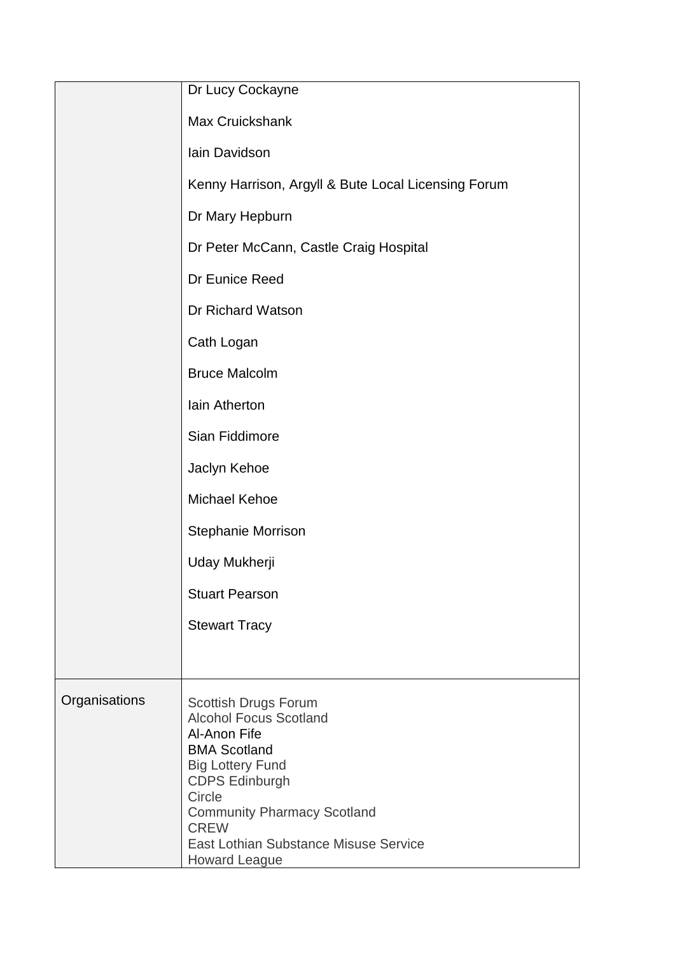|               | Dr Lucy Cockayne                                                                                                                                                                                 |
|---------------|--------------------------------------------------------------------------------------------------------------------------------------------------------------------------------------------------|
|               | <b>Max Cruickshank</b>                                                                                                                                                                           |
|               | Iain Davidson                                                                                                                                                                                    |
|               | Kenny Harrison, Argyll & Bute Local Licensing Forum                                                                                                                                              |
|               | Dr Mary Hepburn                                                                                                                                                                                  |
|               | Dr Peter McCann, Castle Craig Hospital                                                                                                                                                           |
|               | Dr Eunice Reed                                                                                                                                                                                   |
|               | Dr Richard Watson                                                                                                                                                                                |
|               | Cath Logan                                                                                                                                                                                       |
|               | <b>Bruce Malcolm</b>                                                                                                                                                                             |
|               | Iain Atherton                                                                                                                                                                                    |
|               | Sian Fiddimore                                                                                                                                                                                   |
|               | Jaclyn Kehoe                                                                                                                                                                                     |
|               | Michael Kehoe                                                                                                                                                                                    |
|               | <b>Stephanie Morrison</b>                                                                                                                                                                        |
|               | Uday Mukherji                                                                                                                                                                                    |
|               | <b>Stuart Pearson</b>                                                                                                                                                                            |
|               | <b>Stewart Tracy</b>                                                                                                                                                                             |
|               |                                                                                                                                                                                                  |
| Organisations | Scottish Drugs Forum<br><b>Alcohol Focus Scotland</b><br>Al-Anon Fife<br><b>BMA Scotland</b><br><b>Big Lottery Fund</b><br><b>CDPS Edinburgh</b><br>Circle<br><b>Community Pharmacy Scotland</b> |
|               | <b>CREW</b><br>East Lothian Substance Misuse Service<br><b>Howard League</b>                                                                                                                     |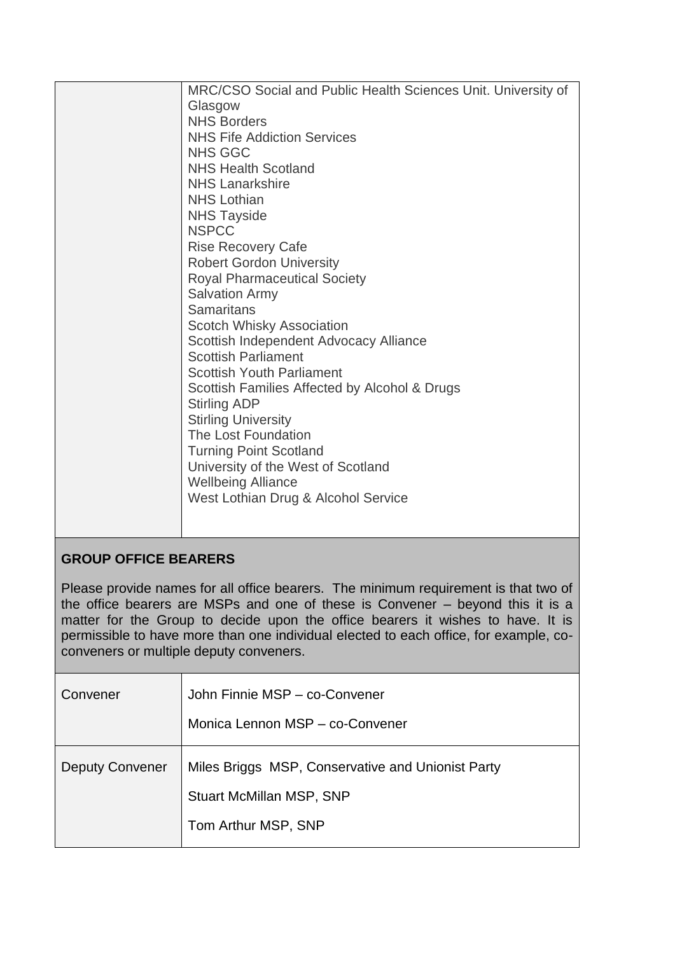| MRC/CSO Social and Public Health Sciences Unit. University of<br>Glasgow<br><b>NHS Borders</b><br><b>NHS Fife Addiction Services</b><br><b>NHS GGC</b><br><b>NHS Health Scotland</b><br><b>NHS Lanarkshire</b><br><b>NHS Lothian</b><br><b>NHS Tayside</b><br><b>NSPCC</b>                                                                                                                                                                |
|-------------------------------------------------------------------------------------------------------------------------------------------------------------------------------------------------------------------------------------------------------------------------------------------------------------------------------------------------------------------------------------------------------------------------------------------|
| <b>Samaritans</b><br><b>Scotch Whisky Association</b><br>Scottish Independent Advocacy Alliance<br><b>Scottish Parliament</b><br><b>Scottish Youth Parliament</b><br>Scottish Families Affected by Alcohol & Drugs<br><b>Stirling ADP</b><br><b>Stirling University</b><br>The Lost Foundation<br><b>Turning Point Scotland</b><br>University of the West of Scotland<br><b>Wellbeing Alliance</b><br>West Lothian Drug & Alcohol Service |

# **GROUP OFFICE BEARERS**

Please provide names for all office bearers. The minimum requirement is that two of the office bearers are MSPs and one of these is Convener – beyond this it is a matter for the Group to decide upon the office bearers it wishes to have. It is permissible to have more than one individual elected to each office, for example, coconveners or multiple deputy conveners.

| Convener               | John Finnie MSP - co-Convener<br>Monica Lennon MSP - co-Convener                                            |
|------------------------|-------------------------------------------------------------------------------------------------------------|
| <b>Deputy Convener</b> | Miles Briggs MSP, Conservative and Unionist Party<br><b>Stuart McMillan MSP, SNP</b><br>Tom Arthur MSP, SNP |